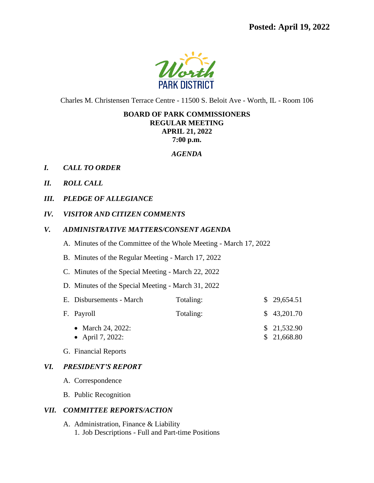

Charles M. Christensen Terrace Centre - 11500 S. Beloit Ave - Worth, IL - Room 106

#### **BOARD OF PARK COMMISSIONERS REGULAR MEETING APRIL 21, 2022**

**7:00 p.m.**

#### *AGENDA*

- *I. CALL TO ORDER*
- *II. ROLL CALL*
- *III. PLEDGE OF ALLEGIANCE*
- *IV. VISITOR AND CITIZEN COMMENTS*
- *V. ADMINISTRATIVE MATTERS/CONSENT AGENDA*
	- A. Minutes of the Committee of the Whole Meeting March 17, 2022
	- B. Minutes of the Regular Meeting March 17, 2022
	- C. Minutes of the Special Meeting March 22, 2022
	- D. Minutes of the Special Meeting March 31, 2022

| E. Disbursements - March              | Totaling: | \$29,654.51                |
|---------------------------------------|-----------|----------------------------|
| F. Payroll                            | Totaling: | \$43,201.70                |
| • March 24, 2022:<br>• April 7, 2022: |           | \$21,532.90<br>\$21,668.80 |

G. Financial Reports

# *VI. PRESIDENT'S REPORT*

- A. Correspondence
- B. Public Recognition

#### *VII. COMMITTEE REPORTS/ACTION*

A. Administration, Finance & Liability 1. Job Descriptions - Full and Part-time Positions